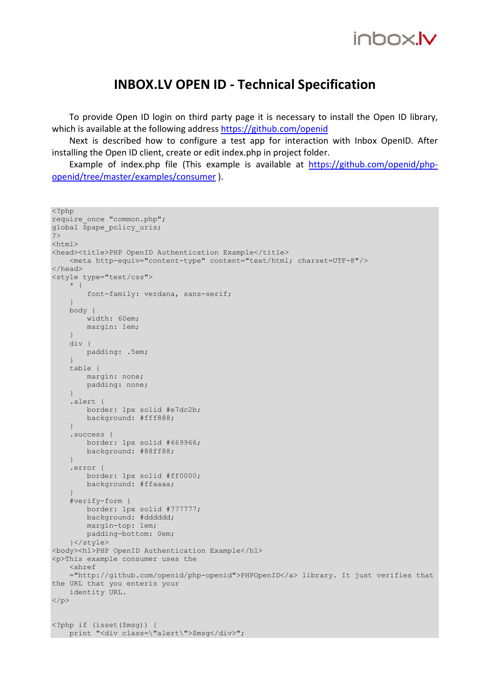#### INBOX.LV OPEN ID - Technical Specification

To provide Open ID login on third party page it is necessary to install the Open ID library, which is available at the following address https://github.com/openid

Next is described how to configure a test app for interaction with Inbox OpenID. After installing the Open ID client, create or edit index.php in project folder.

Example of index.php file (This example is available at https://github.com/openid/phpopenid/tree/master/examples/consumer ).

```
<?php 
require once "common.php";
global $pape policy uris;
?> 
<html><head><title>PHP OpenID Authentication Example</title>
     <meta http-equiv="content-type" content="text/html; charset=UTF-8"/> 
</head> 
<style type="text/css"> 
     * { 
         font-family: verdana, sans-serif; 
 } 
     body { 
         width: 60em; 
        margin: 1em; 
     } 
     div { 
        padding: .5em; 
 } 
     table { 
        margin: none; 
        padding: none; 
     } 
     .alert { 
        border: 1px solid #e7dc2b; 
         background: #fff888; 
     } 
     .success { 
         border: 1px solid #669966; 
         background: #88ff88; 
     } 
     .error { 
        border: 1px solid #ff0000; 
         background: #ffaaaa; 
 } 
     #verify-form { 
        border: 1px solid #777777; 
        background: #dddddd; 
        margin-top: 1em; 
         padding-bottom: 0em; 
     }</style> 
<body><h1>PHP OpenID Authentication Example</h1> 
<p>This example consumer uses the 
     <ahref 
     ="http://github.com/openid/php-openid">PHPOpenID</a> library. It just verifies that 
the URL that you enteris your 
     identity URL. 
\langle/p>
<?php if (isset($msg)) { 
    print "<div class=\"alert\">$msg</div>";
```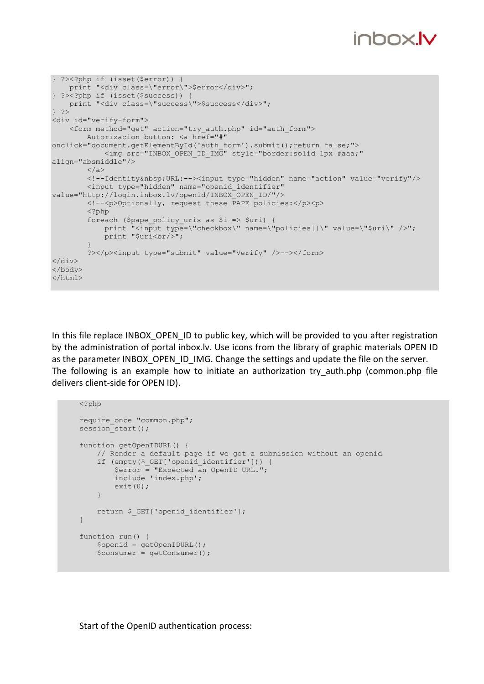## inbox.**Iv**

```
} ?><?php if (isset($error)) { 
    print "<div class=\"error\">$error</div>"; 
} ?><?php if (isset($success)) { 
    print "<div class=\"success\">$success</div>"; 
|3 \rangle<div id="verify-form"> 
     <form method="get" action="try_auth.php" id="auth_form"> 
         Autorizacion button: <a href="#" 
onclick="document.getElementById('auth_form').submit();return false;"> 
             <img src="INBOX_OPEN_ID_IMG" style="border:solid 1px #aaa;" 
align="absmiddle"/> 
        \langlea>
         <!--Identity&nbsp;URL:--><input type="hidden" name="action" value="verify"/> 
         <input type="hidden" name="openid_identifier" 
value="http://login.inbox.lv/openid/INBOX_OPEN_ID/"/> 
         <!--<p>Optionally, request these PAPE policies:</p><p> 
         <?php 
         foreach ($pape_policy_uris as $i => $uri) { 
            print "<input type=\"checkbox\" name=\"policies[]\" value=\"$uri\" />";
            print "$uri<br/>>";
 } 
         ?></p><input type="submit" value="Verify" />--></form> 
\langlediv\rangle</body> 
</html>
```
In this file replace INBOX OPEN ID to public key, which will be provided to you after registration by the administration of portal inbox.lv. Use icons from the library of graphic materials OPEN ID as the parameter INBOX\_OPEN\_ID\_IMG. Change the settings and update the file on the server. The following is an example how to initiate an authorization try\_auth.php (common.php file delivers client-side for OPEN ID).

```
\mathord{<} ?\mathtt{php}require_once "common.php"; 
session start();
function getOpenIDURL() { 
     // Render a default page if we got a submission without an openid 
     if (empty($_GET['openid_identifier'])) { 
         \frac{1}{2} = "Expected an OpenID URL.";
         include 'index.php'; 
          exit(0); 
     } 
    return $ GET['openid identifier'];
} 
function run() { 
     $openid = getOpenIDURL(); 
     $consumer = getConsumer();
```
Start of the OpenID authentication process: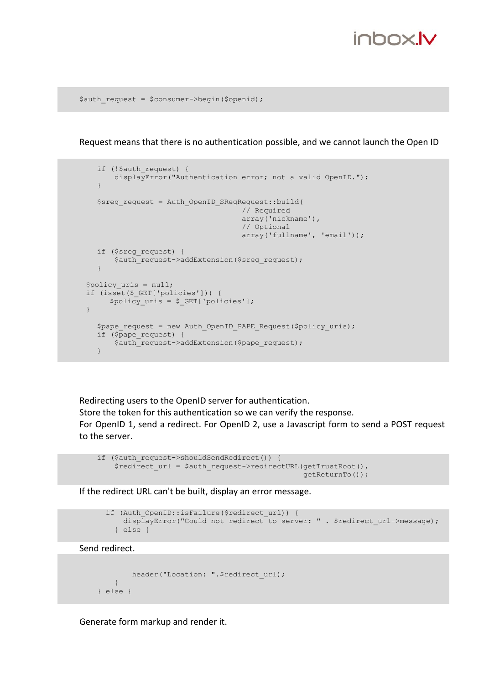#### inhnx**lv**

\$auth request = \$consumer->begin(\$openid);

Request means that there is no authentication possible, and we cannot launch the Open ID

```
if (!$auth request) {
        displayError("Authentication error; not a valid OpenID."); 
    } 
    $sreg_request = Auth_OpenID_SRegRequest::build( 
                                       // Required 
                                        array('nickname'), 
                                        // Optional 
                                       array('fullname', 'email')); 
   if ($sreg_request) { 
       $auth_request->addExtension($sreq_request);
    } 
 $policy_uris = null; 
 if (isset($_GET['policies'])) { 
     $policy <code>uris = $ GET['polities'];</code> } 
  $pape request = new Auth OpenID PAPE Request($policy uris);
   if ($pape_request) { 
      $auth_request->addExtension($pape_request);
    }
```
Redirecting users to the OpenID server for authentication. Store the token for this authentication so we can verify the response. For OpenID 1, send a redirect. For OpenID 2, use a Javascript form to send a POST request to the server.

```
if ($auth request->shouldSendRedirect()) {
     $redirect_url = $auth_request->redirectURL(getTrustRoot(), 
                                                 getReturnTo());
```
If the redirect URL can't be built, display an error message.

```
if (Auth OpenID::isFailure($redirect url)) {
   displayError("Could not redirect to server: " . $redirect url->message);
  } else {
```
Send redirect.

```
header("Location: ".$redirect url);
     } 
 } else {
```
Generate form markup and render it.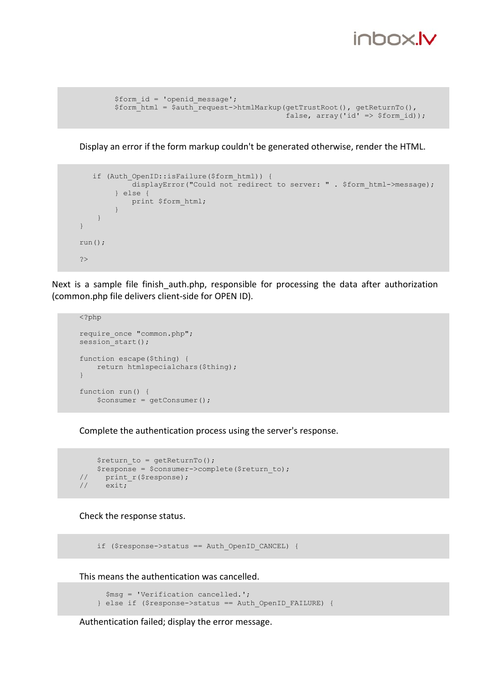### inhnx**lv**

```
 $form_id = 'openid_message'; 
 $form_html = $auth_request->htmlMarkup(getTrustRoot(), getReturnTo(), 
                                           false, array('id' \Rightarrow $form id));
```
Display an error if the form markup couldn't be generated otherwise, render the HTML.

```
if (Auth OpenID::isFailure($form html)) {
             displayError("Could not redirect to server: " . $form_html->message); 
         } else { 
            print $form_html; 
         } 
     } 
} 
run(); 
?>
```
Next is a sample file finish auth.php, responsible for processing the data after authorization (common.php file delivers client-side for OPEN ID).

```
<?php 
require once "common.php";
session_start();
function escape($thing) { 
     return htmlspecialchars($thing); 
} 
function run() { 
     $consumer = getConsumer();
```
Complete the authentication process using the server's response.

```
$return to = getReturnTo();$response = $consumer->complete($return_to);<br>// print r($response);
// print_r($response);<br>// exit;
      exit;
```
Check the response status.

if (\$response->status == Auth\_OpenID\_CANCEL) {

This means the authentication was cancelled.

```
 $msg = 'Verification cancelled.'; 
 } else if ($response->status == Auth_OpenID_FAILURE) {
```
Authentication failed; display the error message.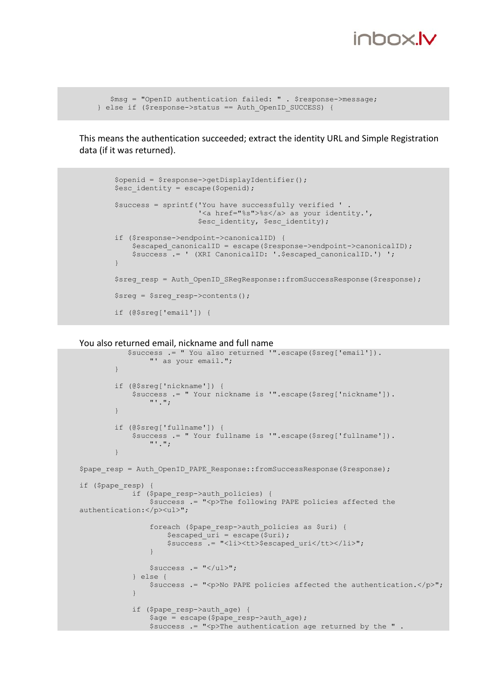

```
 $msg = "OpenID authentication failed: " . $response->message; 
 } else if ($response->status == Auth_OpenID_SUCCESS) {
```
This means the authentication succeeded; extract the identity URL and Simple Registration data (if it was returned).

```
 $openid = $response->getDisplayIdentifier(); 
       $esc identity = escape(Sopenid); $success = sprintf('You have successfully verified ' . 
                            '<a href="%s">%s</a> as your identity.', 
                           $esc_identity, $esc_identity);
        if ($response->endpoint->canonicalID) { 
            $escaped canonicalID = escape($response->endpoint->canonicalID);
            $success .= ' (XRI CanonicalID: '.$escaped canonicalID.') ';
 } 
       $sreg_resp = Auth_OpenID_SRegResponse::fromSuccessResponse($response);
       $sreg = $sreg resp->contents();
        if (@$sreg['email']) {
```
You also returned email, nickname and full name

```
 $success .= " You also returned '".escape($sreg['email']). 
                     "' as your email."; 
 } 
           if (@$sreg['nickname']) { 
                $success .= " Your nickname is '".escape($sreg['nickname']). 
                   \mathbf{u}, \mathbf{u};
 } 
           if (@$sreg['fullname']) { 
               $success .= " Your fullname is '".escape($sreg['fullname']). 
                     "'."; 
 } 
$pape_resp = Auth_OpenID_PAPE_Response::fromSuccessResponse($response);
if ($pape_resp) { 
               if ($pape resp->auth policies) {
                     $success .= "<p>The following PAPE policies affected the 
authentication:</p><ul>";
                     foreach ($pape_resp->auth_policies as $uri) { 
                         $escaped uri = escape(Suri);$success .= "<li><tt>$escaped uri</tt></li>";
denotes the control of the second property of the second property of the second property of the second property of the second property of the second property of the second property of the second property of the second prop
                    $success .= "</ul>"; 
                } else { 
                    $success .= "<p>No PAPE policies affected the authentication.</p>"; 
 } 
               if ($pape resp->auth age) {
                    \sqrt{2}age = escape(\sqrt{2}pape resp->auth age);
                     $success .= "<p>The authentication age returned by the " .
```